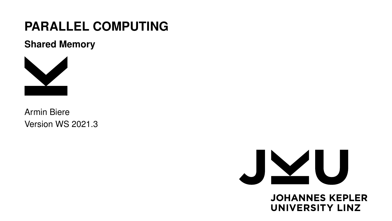# **PARALLEL COMPUTING**

**Shared Memory**



Armin Biere Version WS 2021.3



**JOHANNES KEPLER UNIVERSITY LINZ**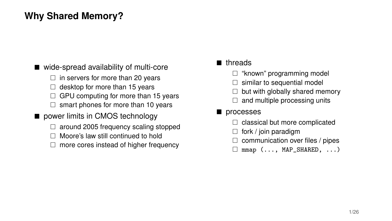# **Why Shared Memory?**

#### ■ wide-spread availability of multi-core

- $\Box$  in servers for more than 20 years
- $\Box$  desktop for more than 15 years
- $\Box$  GPU computing for more than 15 years
- $\Box$  smart phones for more than 10 years

#### power limits in CMOS technology

- $\Box$  around 2005 frequency scaling stopped
- Moore's law still continued to hold
- $\Box$  more cores instead of higher frequency

#### **n** threads

- $\Box$  "known" programming model
- $\Box$  similar to sequential model
- $\Box$  but with globally shared memory
- $\Box$  and multiple processing units

#### **processes**

- $\Box$  classical but more complicated
- $\Box$  fork / join paradigm
- $\Box$  communication over files / pipes
- $\Box$  mmap (..., MAP\_SHARED, ...)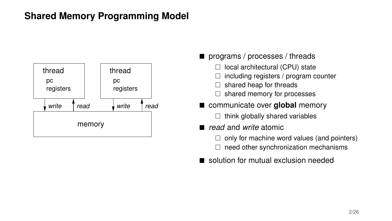# **Shared Memory Programming Model**



- **programs** / processes / threads
	- $\Box$  local architectural (CPU) state
	- $\Box$  including registers / program counter
	- $\Box$  shared heap for threads
	- $\Box$  shared memory for processes
- $\blacksquare$  communicate over **global** memory
	- $\Box$  think globally shared variables
- *read* and *write* atomic
	- $\Box$  only for machine word values (and pointers)
	- $\Box$  need other synchronization mechanisms
- solution for mutual exclusion needed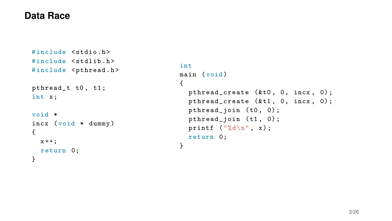#### **Data Race**

```
# include < stdio .h >
# include < stdlib .h >
#include <pthread.h>
pthread_t t0 , t1 ;
int x;
void *
incx ( void * dummy )
{
  x + +:
  return 0;
}
```

```
int
main (void)
{
  pthread_create (&t0, 0, incx, 0);
  pthread_create (kt1, 0, incx, 0);pthread_join (t0, 0);
  pthread_join (t1, 0);
  printf ("%d\n'\n'', x);
  return 0;
}
```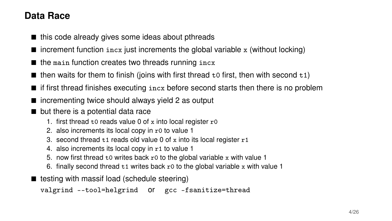# **Data Race**

- $\blacksquare$  this code already gives some ideas about pthreads
- $\blacksquare$  increment function  $\text{incx}$  just increments the global variable x (without locking)
- $\blacksquare$  the main function creates two threads running incx
- $\blacksquare$  then waits for them to finish (joins with first thread to first, then with second t1)
- $\blacksquare$  if first thread finishes executing  $\text{inc}x$  before second starts then there is no problem
- $\blacksquare$  incrementing twice should always yield 2 as output
- but there is a potential data race
	- 1. first thread  $t0$  reads value 0 of x into local register  $r0$
	- 2. also increments its local copy in r0 to value 1
	- 3. second thread  $t1$  reads old value 0 of x into its local register  $r1$
	- 4. also increments its local copy in r1 to value 1
	- 5. now first thread  $t_0$  writes back  $r_0$  to the global variable x with value 1
	- 6. finally second thread  $t_1$  writes back r0 to the global variable x with value 1
- $\blacksquare$  testing with massif load (schedule steering)

```
valgrind --tool=helgrind or gcc -fsanitize=thread
```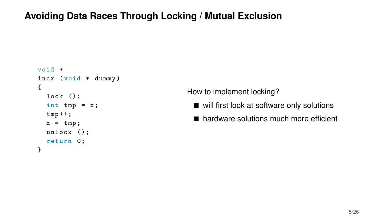# **Avoiding Data Races Through Locking / Mutual Exclusion**

```
void *
incx ( void * dummy )
{
  lock();
  int tmp = x;tmp++;x = \text{tmp};
  unlock () ;
  return 0;
}
```
How to implement locking?

- will first look at software only solutions
- hardware solutions much more efficient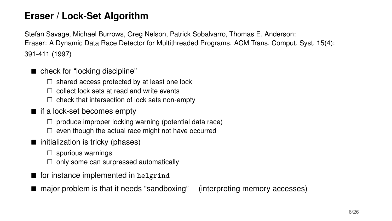# **Eraser / Lock-Set Algorithm**

Stefan Savage, Michael Burrows, Greg Nelson, Patrick Sobalvarro, Thomas E. Anderson: Eraser: A Dynamic Data Race Detector for Multithreaded Programs. ACM Trans. Comput. Syst. 15(4): 391-411 (1997)

- check for "locking discipline"
	- $\Box$  shared access protected by at least one lock
	- $\Box$  collect lock sets at read and write events
	- $\Box$  check that intersection of lock sets non-empty
- if a lock-set becomes empty
	- $\Box$  produce improper locking warning (potential data race)
	- $\Box$  even though the actual race might not have occurred
- $\blacksquare$  initialization is tricky (phases)
	- $\Box$  spurious warnings
	- $\Box$  only some can surpressed automatically
- for instance implemented in helgrind
- major problem is that it needs "sandboxing" (interpreting memory accesses)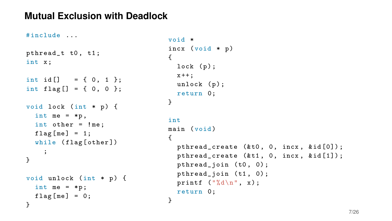### **Mutual Exclusion with Deadlock**

```
# include ...
pthread_t t0 , t1 ;
int x;
int id [ ] = { 0, 1 };int flag[] = { 0, 0 };
void lock ( int * p) {
  int me = *p,
  int other = ! me ;
  flag[me] = 1;while (flag[other])
    ;
}
void unlock ( int * p) {
  int me = *p;
  flag[me] = 0;}
```

```
void *
incx (void * p){
  lock (p);
  x + +;
  unlock (p) ;
  return 0;
}
int
main (void)
{
  pthread_create (&t0, 0, incx, &id[0]);
  pthread_create (&t1, 0, incx, &id[1]);
  pthread_join (t0, 0);
  pthread_join (t1, 0);
  printf ("%d\n', x);return 0;
}
```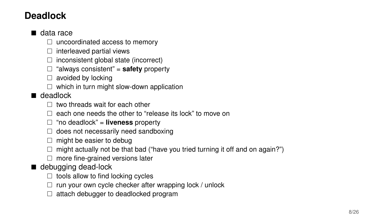# **Deadlock**

#### ■ data race

- $\Box$  uncoordinated access to memory
- $\Box$  interleaved partial views
- $\Box$  inconsistent global state (incorrect)
- □ "always consistent" = **safety** property
- $\Box$  avoided by locking
- $\Box$  which in turn might slow-down application

#### ■ deadlock

- $\Box$  two threads wait for each other
- $\Box$  each one needs the other to "release its lock" to move on
- "no deadlock" = **liveness** property
- $\Box$  does not necessarily need sandboxing
- $\Box$  might be easier to debug
- $\Box$  might actually not be that bad ("have you tried turning it off and on again?")
- $\Box$  more fine-grained versions later

#### ■ debugging dead-lock

- $\Box$  tools allow to find locking cycles
- $\Box$  run your own cycle checker after wrapping lock / unlock
- $\Box$  attach debugger to deadlocked program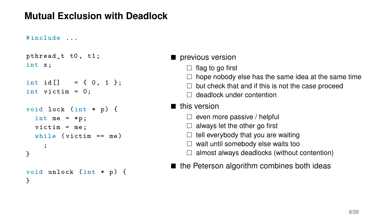# **Mutual Exclusion with Deadlock**

#### # include ...

```
pthread_t t0, t1;
int x;
int id[] = \{ 0, 1 \};int victim = 0;
void lock ( int * p) {
  int me = *p;
  victim = me;while (victim == me);
}
void unlock ( int * p) {
}
```
#### $\blacksquare$  previous version

- $\Box$  flag to go first
- $\Box$  hope nobody else has the same idea at the same time
- $\Box$  but check that and if this is not the case proceed
- □ deadlock under contention

#### ■ this version

- $\Box$  even more passive / helpful
- $\Box$  always let the other go first
- $\Box$  tell everybody that you are waiting
- $\Box$  wait until somebody else waits too
- $\Box$  almost always deadlocks (without contention)
- $\blacksquare$  the Peterson algorithm combines both ideas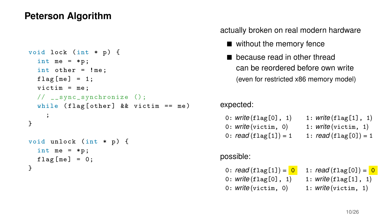### **Peterson Algorithm**

```
void lock ( int * p) {
  int me = *p;
  int other = ! me ;
 flag[me] = 1;victim = me:
  // __sync_synchronize ();
  while (flag [other] & k victim == me)
    ;
}
void unlock ( int * p) {
  int me = *p;
 flag[me] = 0;}
```
actually broken on real modern hardware

- without the memory fence
- **because read in other thread** can be reordered before own write (even for restricted x86 memory model)

expected:

| 0: write(flag[0], 1)          | 1: write(flag[1], 1)                   |
|-------------------------------|----------------------------------------|
| $0:$ <i>write</i> (victim, 0) | 1: $\textit{write}( \text{victim, 1})$ |
| 0: $read(flag[1]) = 1$        | 1: $read(flag[0]) = 1$                 |

possible:

0:  $read(flag[1]) = 0$  1:  $read(flag[0]) = 0$ 0: *write* (flag[0], 1) 1: *write* (flag[1], 1) 0: *write* (victim, 0) 1: *write* (victim, 1)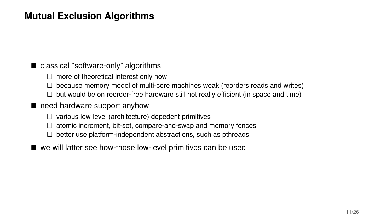# **Mutual Exclusion Algorithms**

#### classical "software-only" algorithms

- $\Box$  more of theoretical interest only now
- $\Box$  because memory model of multi-core machines weak (reorders reads and writes)
- $\Box$  but would be on reorder-free hardware still not really efficient (in space and time)

#### need hardware support anyhow

- $\Box$  various low-level (architecture) depedent primitives
- $\Box$  atomic increment, bit-set, compare-and-swap and memory fences
- $\Box$  better use platform-independent abstractions, such as pthreads
- we will latter see how-those low-level primitives can be used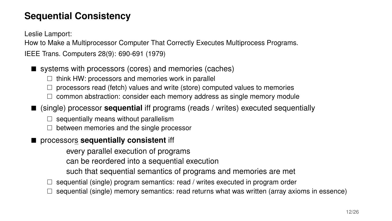# **Sequential Consistency**

Leslie Lamport:

How to Make a Multiprocessor Computer That Correctly Executes Multiprocess Programs.

IEEE Trans. Computers 28(9): 690-691 (1979)

- systems with processors (cores) and memories (caches)
	- $\Box$  think HW: processors and memories work in parallel
	- $\Box$  processors read (fetch) values and write (store) computed values to memories
	- $\Box$  common abstraction: consider each memory address as single memory module
- (single) processor **sequential** iff programs (reads / writes) executed sequentially
	- $\Box$  sequentially means without parallelism
	- $\Box$  between memories and the single processor
- processors **sequentially consistent** iff

every parallel execution of programs

can be reordered into a sequential execution

- such that sequential semantics of programs and memories are met
- $\Box$  sequential (single) program semantics: read / writes executed in program order
- sequential (single) memory semantics: read returns what was written (array axioms in essence)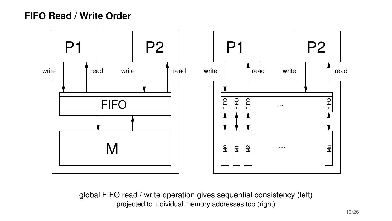### **FIFO Read / Write Order**



global FIFO read / write operation gives sequential consistency (left) projected to individual memory addresses too (right)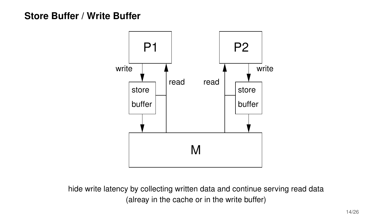### **Store Buffer / Write Buffer**



hide write latency by collecting written data and continue serving read data (alreay in the cache or in the write buffer)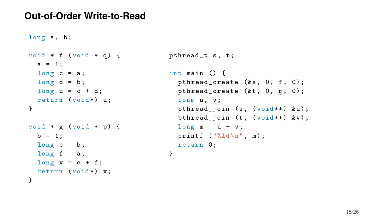#### **Out-of-Order Write-to-Read**

```
long a, b;void * f (void * q) { pthread_t s, t;
 a = 1;
 long c = a; int main () {
 return (void*) u; long u, v;
void * g (void * p) { long m = u + v;
 long e = b; return 0;
 long \t f = a; }
 long \ v = e + f;return (void*) v;
}
```

```
long d = b; between the princed_create (\&s, 0, f, 0);
 long \ u = c + d; pthread_create (kt, 0, g, 0);} pthread_join (s, (void **) &u);
                         pthread_join (t, (void**) ky);
 b = 1; printf ("%1d\n\cdot n", m);
```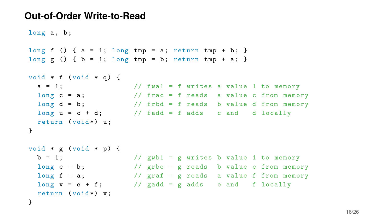#### **Out-of-Order Write-to-Read**

```
long a, b;long f () { a = 1; long tmp = a; return tmp + b; }
long g () { b = 1; long tmp = b; return tmp + a; }
void * f (void * q) {
 a = 1; // fwal = f writes a value 1 to memory
 long c = a; \frac{1}{1 + ac} = f reads a value c from memory
 long d = b; // frbd = f reads b value d from memory
 long u = c + d; // fadd = f adds c and d locally
 return (void*) u;
}
void * g (void * p) {
 b = 1; // gwb1 = g writes b value 1 to memorylong e = b; // grbe = g reads b value e from memory
 long f = a; \frac{1}{2} araf = g reads a value f from memory
 long v = e + f; // gadd = g adds e and f locally
 return (void*) v;
}
```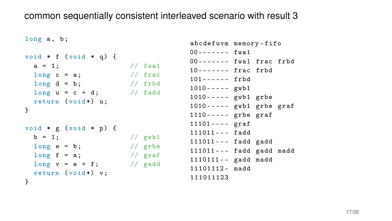#### common sequentially consistent interleaved scenario with result 3

```
long a, b:
void * f (void * q) {
 a = 1; // fwa1
 long c = a; \frac{1}{\pi} frac
 long d = b; // frbd
 long u = c + d; // fadd
 return (void*) u;
}
void * g (void * p) {
 b = 1; // gwb1
 long e = b; // grbe
 long f = a; // graf
 long v = e + f; // gadd
 return (void*) v;
}
```

```
abcdefuvm memory - fifo
00------- fwa1
00------- fwa1 frac frbd
10 - - - - - - - frac frbd
101 - - - - - frbd
1010 - - - - gwb1
1010 - - - - gwb1 grbe
1010----- gwb1 grbe graf
1110 - - - - grbe graf
11101 - - - graf
111011 - - - fadd
111011 - - - fadd gadd
111011 - - - fadd gadd madd
1110111 - - gadd madd
11101112 - \text{madd}111011123
```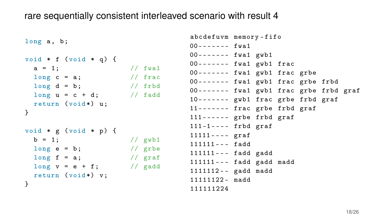#### rare sequentially consistent interleaved scenario with result 4

```
long a, b;void * f (void * q) {
 a = 1; // fwa1
 long c = a; // fraclong d = b; // frbd
 long u = c + d; // fadd
 return (void*) u;
}
void * g (void * p) {
 b = 1; // gwb1long e = b; // grbe
 long f = a; // graflong v = e + f; // gadd
 return (void*) v;
}
```

```
abcdefuvm memory - fifo
00 - - - - - - fwa1
00 - - - - - - fwa1 gwb1
00 - - - - - - - fwa1 gwb1 frac
00------- fwal gwb1 frac grbe
00 ------- fwa1 gwb1 frac grbe frbd
00 ------- fwa1 gwb1 frac grbe frbd graf
10 ------- gwb1 frac grbe frbd graf
11 - - - - - - - frac grbe frbd graf
111------ grbe frbd graf
111 -1 - - - - frbd graf
11111 - - - graf
111111 - - - fadd
111111 - - fadd gadd
111111 - - - fadd gadd madd
1111112 - - gadd madd
11111122 - madd
111111224
```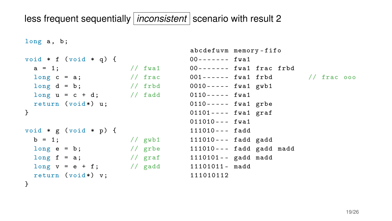# less frequent sequentially *inconsistent* scenario with result 2

```
long a, b;void * f (void * q) {
 a = 1; // f wa1
  long c = a; \frac{1}{2} // frac 001------ fwa1 frbd // frac 000
  long d = b; // frbd
0010 - - - - - fwa1 gwb1
 long u = c + d; // fadd
 return (void*) u;
}
void * g (void * p) {
 b = 1; // gwb1
 long e = b; // grbe
 long f = a; // graf
 long v = e + f; // gadd
 return (void*) v;
}
                                 abcdefuvm memory - fifo
                                 00 - - - - - - fwa1
                                 00------- fwa1 frac frbd
                                 0110 - - - - fwa1
                                 0110 - - - - - fwa1 grbe
                                 01101 ---- fwa1 graf
                                 011010 - - - fwa1
                                 111010 - - - fadd
                                 111010 - - - fadd gadd
                                 111010 - - - fadd gadd madd
                                 1110101 - gadd madd
                                 11101011 - madd
                                 111010112
```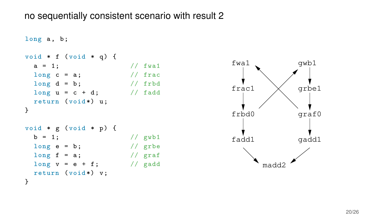#### no sequentially consistent scenario with result 2

```
long a, b:
void * f (void * q) {
 a = 1; // fwa1
 long c = a; \frac{1}{\pi} frac
 long d = b; // frbd
 long u = c + d; // fadd
 return (void*) u;
}
void * g (void * p) {
 b = 1; // gwb1
 long e = b; // grbe
 long f = a; // graf
 long v = e + f; // gadd
 return (void*) v;
}
```
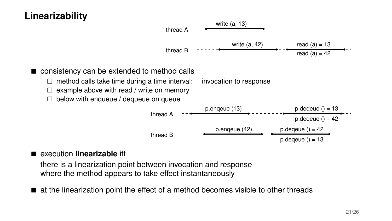# **Linearizability**



#### execution **linearizable** iff

there is a linearization point between invocation and response where the method appears to take effect instantaneously

 $\blacksquare$  at the linearization point the effect of a method becomes visible to other threads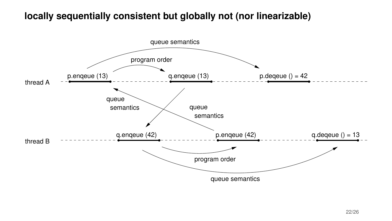### **locally sequentially consistent but globally not (nor linearizable)**

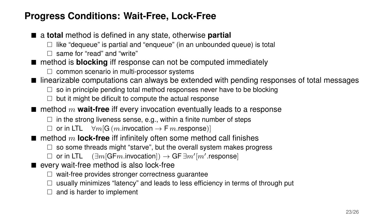# **Progress Conditions: Wait-Free, Lock-Free**

- a **total** method is defined in any state, otherwise **partial** 
	- $\Box$  like "dequeue" is partial and "enqueue" (in an unbounded queue) is total
	- $\Box$  same for "read" and "write"
- method is **blocking** iff response can not be computed immediately
	- $\Box$  common scenario in multi-processor systems
- linearizable computations can always be extended with pending responses of total messages
	- $\Box$  so in principle pending total method responses never have to be blocking
	- $\Box$  but it might be dificult to compute the actual response
- $\blacksquare$  method m **wait-free** iff every invocation eventually leads to a response
	- $\Box$  in the strong liveness sense, e.g., within a finite number of steps
	- $\Box$  or in LTL  $\forall m[G(m.invocation \rightarrow Fm.response)]$
- $\blacksquare$  method m **lock-free** iff infinitely often some method call finishes
	- $\Box$  so some threads might "starve", but the overall system makes progress
	- $\Box$  or in LTL  $(\exists m$ [GFm.invocation])  $\rightarrow$  GF  $\exists m'[m'$ .response]
- every wait-free method is also lock-free
	- $\Box$  wait-free provides stronger correctness guarantee
	- $\Box$  usually minimizes "latency" and leads to less efficiency in terms of through put
	- $\Box$  and is harder to implement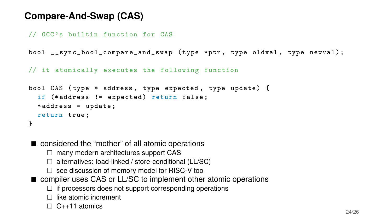# **Compare-And-Swap (CAS)**

```
// GCC 's builtin function for CAS
```
bool \_\_sync\_bool\_compare\_and\_swap ( type \* ptr , type oldval , type newval ) ;

// it atomically executes the following function

```
bool CAS (type * address, type expected, type update) {
  if (*address != expected) return false;
  * address = update ;
 return true ;
}
```
■ considered the "mother" of all atomic operations

- $\Box$  many modern architectures support CAS
- $\Box$  alternatives: load-linked / store-conditional (LL/SC)
- $\Box$  see discussion of memory model for RISC-V too
- compiler uses CAS or LL/SC to implement other atomic operations
	- $\Box$  if processors does not support corresponding operations
	- $\Box$  like atomic increment
	- $\Box$  C++11 atomics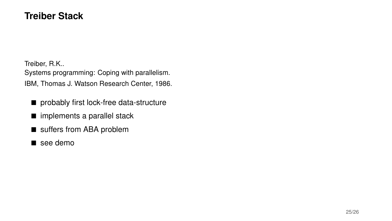### **Treiber Stack**

Treiber, R.K.. Systems programming: Coping with parallelism. IBM, Thomas J. Watson Research Center, 1986.

- **probably first lock-free data-structure**
- implements a parallel stack
- suffers from ABA problem
- see demo